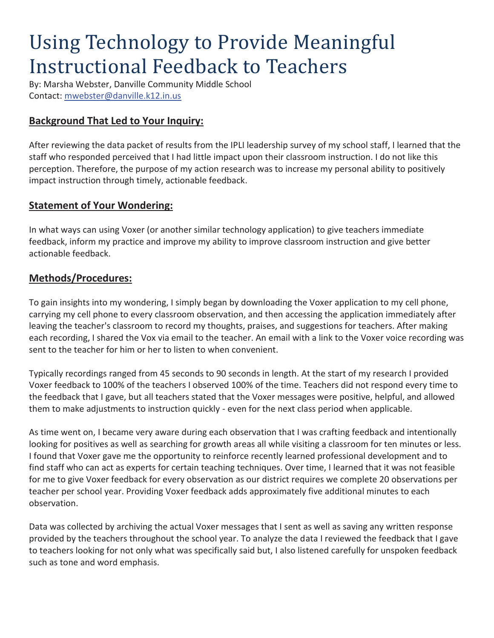# Using Technology to Provide Meaningful Instructional Feedback to Teachers

By: Marsha Webster, Danville Community Middle School Contact: mwebster@danville.k12.in.us

# **Background That Led to Your Inquiry:**

After reviewing the data packet of results from the IPLI leadership survey of my school staff, I learned that the staff who responded perceived that I had little impact upon their classroom instruction. I do not like this perception. Therefore, the purpose of my action research was to increase my personal ability to positively impact instruction through timely, actionable feedback.

### **Statement of Your Wondering:**

In what ways can using Voxer (or another similar technology application) to give teachers immediate feedback, inform my practice and improve my ability to improve classroom instruction and give better actionable feedback.

# **Methods/Procedures:**

To gain insights into my wondering, I simply began by downloading the Voxer application to my cell phone, carrying my cell phone to every classroom observation, and then accessing the application immediately after leaving the teacher's classroom to record my thoughts, praises, and suggestions for teachers. After making each recording, I shared the Vox via email to the teacher. An email with a link to the Voxer voice recording was sent to the teacher for him or her to listen to when convenient.

Typically recordings ranged from 45 seconds to 90 seconds in length. At the start of my research I provided Voxer feedback to 100% of the teachers I observed 100% of the time. Teachers did not respond every time to the feedback that I gave, but all teachers stated that the Voxer messages were positive, helpful, and allowed them to make adjustments to instruction quickly - even for the next class period when applicable.

As time went on, I became very aware during each observation that I was crafting feedback and intentionally looking for positives as well as searching for growth areas all while visiting a classroom for ten minutes or less. I found that Voxer gave me the opportunity to reinforce recently learned professional development and to find staff who can act as experts for certain teaching techniques. Over time, I learned that it was not feasible for me to give Voxer feedback for every observation as our district requires we complete 20 observations per teacher per school year. Providing Voxer feedback adds approximately five additional minutes to each observation.

Data was collected by archiving the actual Voxer messages that I sent as well as saving any written response provided by the teachers throughout the school year. To analyze the data I reviewed the feedback that I gave to teachers looking for not only what was specifically said but, I also listened carefully for unspoken feedback such as tone and word emphasis.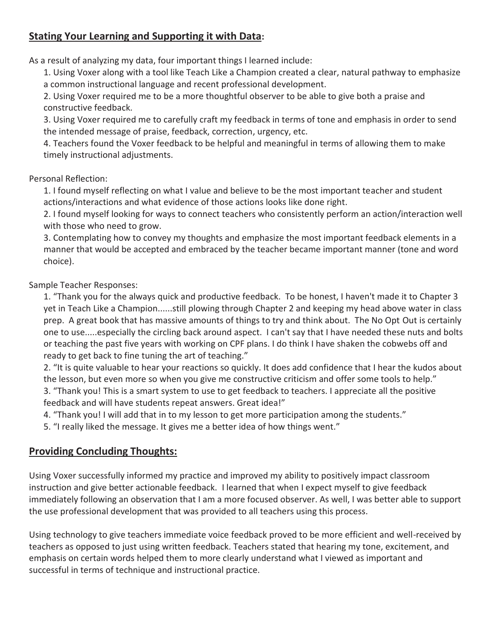# **Stating Your Learning and Supporting it with Data:**

As a result of analyzing my data, four important things I learned include:

1. Using Voxer along with a tool like Teach Like a Champion created a clear, natural pathway to emphasize a common instructional language and recent professional development.

2. Using Voxer required me to be a more thoughtful observer to be able to give both a praise and constructive feedback.

3. Using Voxer required me to carefully craft my feedback in terms of tone and emphasis in order to send the intended message of praise, feedback, correction, urgency, etc.

4. Teachers found the Voxer feedback to be helpful and meaningful in terms of allowing them to make timely instructional adjustments.

#### Personal Reflection:

1. I found myself reflecting on what I value and believe to be the most important teacher and student actions/interactions and what evidence of those actions looks like done right.

2. I found myself looking for ways to connect teachers who consistently perform an action/interaction well with those who need to grow.

3. Contemplating how to convey my thoughts and emphasize the most important feedback elements in a manner that would be accepted and embraced by the teacher became important manner (tone and word choice).

Sample Teacher Responses:

1. "Thank you for the always quick and productive feedback. To be honest, I haven't made it to Chapter 3 yet in Teach Like a Champion......still plowing through Chapter 2 and keeping my head above water in class prep. A great book that has massive amounts of things to try and think about. The No Opt Out is certainly one to use.....especially the circling back around aspect. I can't say that I have needed these nuts and bolts or teaching the past five years with working on CPF plans. I do think I have shaken the cobwebs off and ready to get back to fine tuning the art of teaching."

2. "It is quite valuable to hear your reactions so quickly. It does add confidence that I hear the kudos about the lesson, but even more so when you give me constructive criticism and offer some tools to help."

3. "Thank you! This is a smart system to use to get feedback to teachers. I appreciate all the positive feedback and will have students repeat answers. Great idea!"

4. "Thank you! I will add that in to my lesson to get more participation among the students."

5. "I really liked the message. It gives me a better idea of how things went."

# **Providing Concluding Thoughts:**

Using Voxer successfully informed my practice and improved my ability to positively impact classroom instruction and give better actionable feedback. I learned that when I expect myself to give feedback immediately following an observation that I am a more focused observer. As well, I was better able to support the use professional development that was provided to all teachers using this process.

Using technology to give teachers immediate voice feedback proved to be more efficient and well-received by teachers as opposed to just using written feedback. Teachers stated that hearing my tone, excitement, and emphasis on certain words helped them to more clearly understand what I viewed as important and successful in terms of technique and instructional practice.